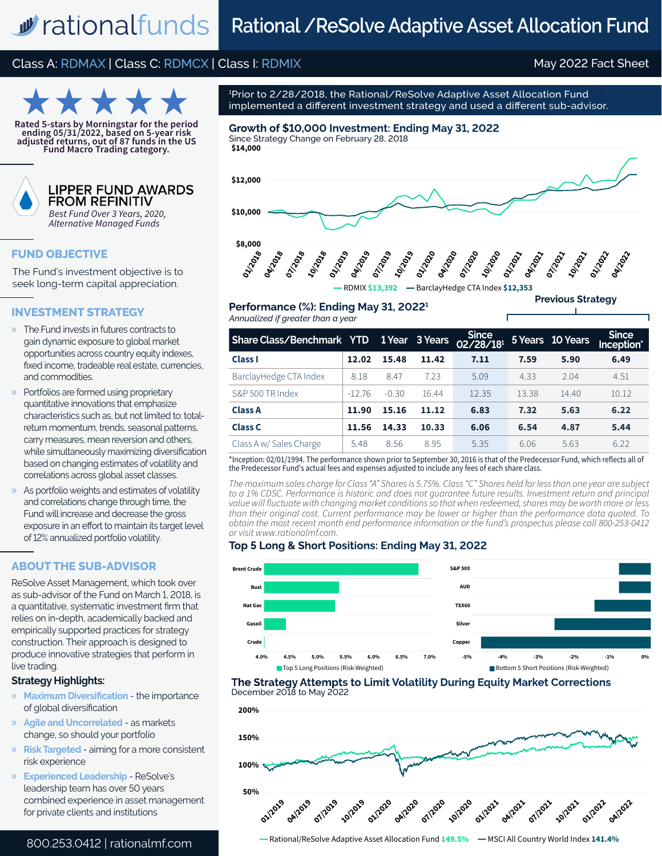# <u>w</u> rationalfunds **Rational /ReSolve Adaptive Asset Allocation Fund**

# Class A: RDMAX | Class C: RDMCX | Class I: RDMIX May 2022 Fact Sheet



**Rated 5-stars by Morningstar for the period ending 05/31/2022, based on 5-year risk adjusted returns, out of 87 funds in the US Fund Macro Trading category.**



# **LIPPER FUND AWARDS FROM REFINITIV**

*Best Fund Over 3 Years, 2020, Alternative Managed Funds*

# **FUND OBJECTIVE**

The Fund's investment objective is to seek long-term capital appreciation.

# **INVESTMENT STRATEGY**

- » The Fund invests in futures contracts to gain dynamic exposure to global market opportunities across country equity indexes, fixed income, tradeable real estate, currencies, and commodities.
- » Portfolios are formed using proprietary quantitative innovations that emphasize characteristics such as, but not limited to: totalreturn momentum, trends, seasonal patterns, carry measures, mean reversion and others, while simultaneously maximizing diversification based on changing estimates of volatility and correlations across global asset classes.
- As portfolio weights and estimates of volatility and correlations change through time, the Fund will increase and decrease the gross exposure in an effort to maintain its target level of 12% annualized portfolio volatility.

# **ABOUT THE SUB-ADVISOR**

ReSolve Asset Management, which took over as sub-advisor of the Fund on March 1, 2018, is a quantitative, systematic investment firm that relies on in-depth, academically backed and empirically supported practices for strategy construction. Their approach is designed to produce innovative strategies that perform in live trading.

### **Strategy Highlights:**

- » **Maximum Diversification** the importance of global diversification
- » **Agile and Uncorrelated** as markets change, so should your portfolio
- » **Risk Targeted**  aiming for a more consistent risk experience
- » **Experienced Leadership** ReSolve's leadership team has over 50 years combined experience in asset management for private clients and institutions

# 800.253.0412 | rationalmf.com

1 Prior to 2/28/2018, the Rational/ReSolve Adaptive Asset Allocation Fund implemented a different investment strategy and used a different sub-advisor.

**\$14,000 Growth of \$10,000 Investment: Ending May 31, 2022** Since Strategy Change on February 28, 2018





# **Performance (%): Ending May 31, 20221 Previous Strategy**

**Inception\***

# *Annualized if greater than a year* **Share Class/Benchmark YTD 1 Year 3 Years OPIC 02/28/181 5 Years 10 Years Since Class I 12.02 15.48 11.42 7.11 7.59 5.90 6.49** BarclayHedge CTA Index | 8.18 8.47 7.23 5.09 4.33 2.04 4.51 S&P 500 TR Index  $-12.76$   $-0.30$   $16.44$   $12.35$   $13.38$   $14.40$   $10.12$ **Class A 11.90 15.16 11.12 6.83 7.32 5.63 6.22**

\*Inception: 02/01/1994. The performance shown prior to September 30, 2016 is that of the Predecessor Fund, which reflects all of **Class C 11.56 14.33 10.33 6.06 6.54 4.87 5.44** Class A w/ Sales Charge | 5.48 8.56 8.95 5.35 6.06 5.63 6.22

the Predecessor Fund's actual fees and expenses adjusted to include any fees of each share class.

*The maximum sales charge for Class "A" Shares is 5.75%. Class "C" Shares held for less than one year are subject to a 1% CDSC. Performance is historic and does not guarantee future results. Investment return and principal value will fluctuate with changing market conditions so that when redeemed, shares may be worth more or less than their original cost. Current performance may be lower or higher than the performance data quoted. To obtain the most recent month end performance information or the fund's prospectus please call 800-253-0412 or visit www.rationalmf.com.*

### **Top 5 Long & Short Positions: Ending May 31, 2022**



#### **The Strategy Attempts to Limit Volatility During Equity Market Corrections** December 2018 to May 2022